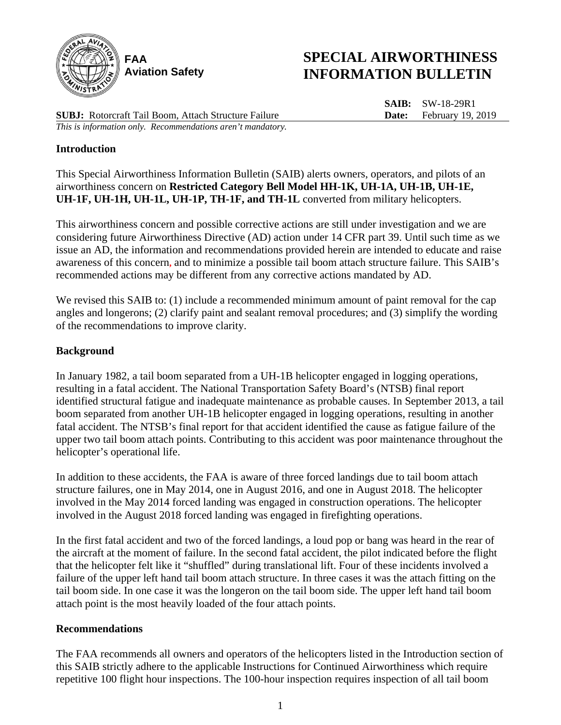

# **SPECIAL AIRWORTHINESS INFORMATION BULLETIN**

**SUBJ:** Rotorcraft Tail Boom, Attach Structure Failure *This is information only. Recommendations aren't mandatory.*

**SAIB:** SW-18-29R1 **Date:** February 19, 2019

### **Introduction**

This Special Airworthiness Information Bulletin (SAIB) alerts owners, operators, and pilots of an airworthiness concern on **Restricted Category Bell Model HH-1K, UH-1A, UH-1B, UH-1E, UH-1F, UH-1H, UH-1L, UH-1P, TH-1F, and TH-1L** converted from military helicopters.

This airworthiness concern and possible corrective actions are still under investigation and we are considering future Airworthiness Directive (AD) action under 14 CFR part 39. Until such time as we issue an AD, the information and recommendations provided herein are intended to educate and raise awareness of this concern**,** and to minimize a possible tail boom attach structure failure. This SAIB's recommended actions may be different from any corrective actions mandated by AD.

We revised this SAIB to: (1) include a recommended minimum amount of paint removal for the cap angles and longerons; (2) clarify paint and sealant removal procedures; and (3) simplify the wording of the recommendations to improve clarity.

### **Background**

In January 1982, a tail boom separated from a UH-1B helicopter engaged in logging operations, resulting in a fatal accident. The National Transportation Safety Board's (NTSB) final report identified structural fatigue and inadequate maintenance as probable causes. In September 2013, a tail boom separated from another UH-1B helicopter engaged in logging operations, resulting in another fatal accident. The NTSB's final report for that accident identified the cause as fatigue failure of the upper two tail boom attach points. Contributing to this accident was poor maintenance throughout the helicopter's operational life.

In addition to these accidents, the FAA is aware of three forced landings due to tail boom attach structure failures, one in May 2014, one in August 2016, and one in August 2018. The helicopter involved in the May 2014 forced landing was engaged in construction operations. The helicopter involved in the August 2018 forced landing was engaged in firefighting operations.

In the first fatal accident and two of the forced landings, a loud pop or bang was heard in the rear of the aircraft at the moment of failure. In the second fatal accident, the pilot indicated before the flight that the helicopter felt like it "shuffled" during translational lift. Four of these incidents involved a failure of the upper left hand tail boom attach structure. In three cases it was the attach fitting on the tail boom side. In one case it was the longeron on the tail boom side. The upper left hand tail boom attach point is the most heavily loaded of the four attach points.

### **Recommendations**

The FAA recommends all owners and operators of the helicopters listed in the Introduction section of this SAIB strictly adhere to the applicable Instructions for Continued Airworthiness which require repetitive 100 flight hour inspections. The 100-hour inspection requires inspection of all tail boom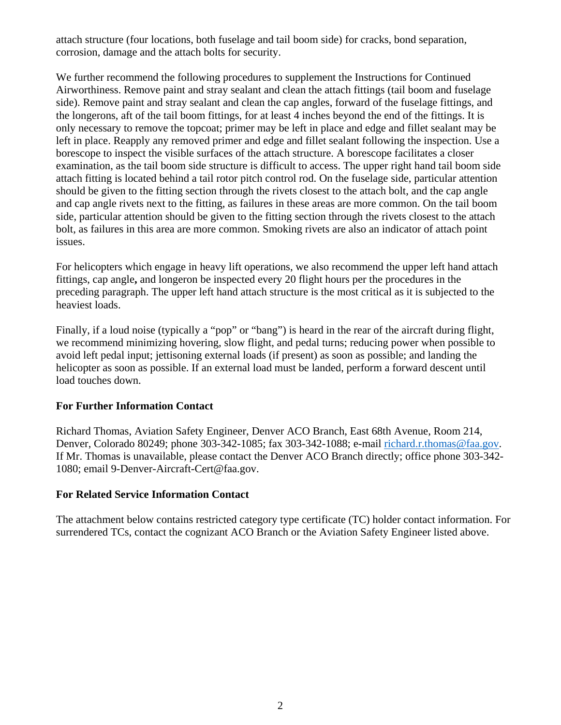attach structure (four locations, both fuselage and tail boom side) for cracks, bond separation, corrosion, damage and the attach bolts for security.

We further recommend the following procedures to supplement the Instructions for Continued Airworthiness. Remove paint and stray sealant and clean the attach fittings (tail boom and fuselage side). Remove paint and stray sealant and clean the cap angles, forward of the fuselage fittings, and the longerons, aft of the tail boom fittings, for at least 4 inches beyond the end of the fittings. It is only necessary to remove the topcoat; primer may be left in place and edge and fillet sealant may be left in place. Reapply any removed primer and edge and fillet sealant following the inspection. Use a borescope to inspect the visible surfaces of the attach structure. A borescope facilitates a closer examination, as the tail boom side structure is difficult to access. The upper right hand tail boom side attach fitting is located behind a tail rotor pitch control rod. On the fuselage side, particular attention should be given to the fitting section through the rivets closest to the attach bolt, and the cap angle and cap angle rivets next to the fitting, as failures in these areas are more common. On the tail boom side, particular attention should be given to the fitting section through the rivets closest to the attach bolt, as failures in this area are more common. Smoking rivets are also an indicator of attach point issues.

For helicopters which engage in heavy lift operations, we also recommend the upper left hand attach fittings, cap angle**,** and longeron be inspected every 20 flight hours per the procedures in the preceding paragraph. The upper left hand attach structure is the most critical as it is subjected to the heaviest loads.

Finally, if a loud noise (typically a "pop" or "bang") is heard in the rear of the aircraft during flight, we recommend minimizing hovering, slow flight, and pedal turns; reducing power when possible to avoid left pedal input; jettisoning external loads (if present) as soon as possible; and landing the helicopter as soon as possible. If an external load must be landed, perform a forward descent until load touches down.

### **For Further Information Contact**

Richard Thomas, Aviation Safety Engineer, Denver ACO Branch, East 68th Avenue, Room 214, Denver, Colorado 80249; phone 303-342-1085; fax 303-342-1088; e-mail [richard.r.thomas@faa.gov.](mailto:richard.r.thomas@faa.gov) If Mr. Thomas is unavailable, please contact the Denver ACO Branch directly; office phone 303-342- 1080; email 9-Denver-Aircraft-Cert@faa.gov.

### **For Related Service Information Contact**

The attachment below contains restricted category type certificate (TC) holder contact information. For surrendered TCs, contact the cognizant ACO Branch or the Aviation Safety Engineer listed above.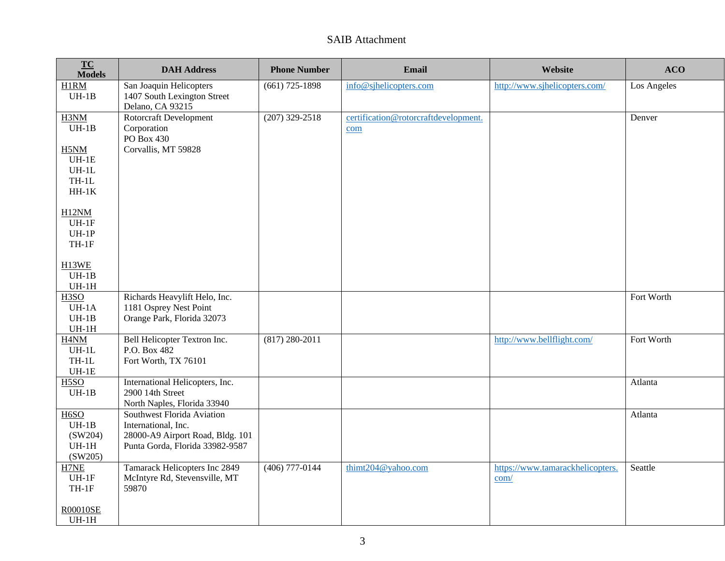## SAIB Attachment

| TC<br><b>Models</b>                                            | <b>DAH Address</b>                                                                                                       | <b>Phone Number</b> | Email                                       | Website                                  | <b>ACO</b>  |
|----------------------------------------------------------------|--------------------------------------------------------------------------------------------------------------------------|---------------------|---------------------------------------------|------------------------------------------|-------------|
| H1RM<br>$UH-1B$                                                | San Joaquin Helicopters<br>1407 South Lexington Street<br>Delano, CA 93215                                               | $(661)$ 725-1898    | info@sjhelicopters.com                      | http://www.sjhelicopters.com/            | Los Angeles |
| H3NM<br>$UH-1B$                                                | Rotorcraft Development<br>Corporation<br>PO Box 430                                                                      | $(207)$ 329-2518    | certification@rotorcraftdevelopment.<br>com |                                          | Denver      |
| H5NM<br>$UH-1E$<br>$UH-1L$<br>$TH-1L$                          | Corvallis, MT 59828                                                                                                      |                     |                                             |                                          |             |
| $HH-1K$<br>H <sub>12NM</sub>                                   |                                                                                                                          |                     |                                             |                                          |             |
| $UH-1F$<br>$UH-1P$<br>$TH-1F$                                  |                                                                                                                          |                     |                                             |                                          |             |
| H13WE<br>$UH-1B$<br>$UH-1H$                                    |                                                                                                                          |                     |                                             |                                          |             |
| H <sub>3</sub> SO<br>$UH-1A$<br>$UH-1B$<br>$UH-1H$             | Richards Heavylift Helo, Inc.<br>1181 Osprey Nest Point<br>Orange Park, Florida 32073                                    |                     |                                             |                                          | Fort Worth  |
| H <sub>4</sub> N <sub>M</sub><br>$UH-1L$<br>$TH-1L$<br>$UH-1E$ | Bell Helicopter Textron Inc.<br>P.O. Box 482<br>Fort Worth, TX 76101                                                     | $(817) 280 - 2011$  |                                             | http://www.bellflight.com/               | Fort Worth  |
| H <sub>5</sub> SO<br>$UH-1B$                                   | International Helicopters, Inc.<br>2900 14th Street<br>North Naples, Florida 33940                                       |                     |                                             |                                          | Atlanta     |
| H <sub>6</sub> SO<br>$UH-1B$<br>(SW204)<br>$UH-1H$<br>(SW205)  | Southwest Florida Aviation<br>International, Inc.<br>28000-A9 Airport Road, Bldg. 101<br>Punta Gorda, Florida 33982-9587 |                     |                                             |                                          | Atlanta     |
| H7NE<br>$UH-1F$<br>$TH-1F$<br><b>R00010SE</b>                  | Tamarack Helicopters Inc 2849<br>McIntyre Rd, Stevensville, MT<br>59870                                                  | $(406)$ 777-0144    | thimt204@yahoo.com                          | https://www.tamarackhelicopters.<br>com/ | Seattle     |
| $UH-1H$                                                        |                                                                                                                          |                     |                                             |                                          |             |